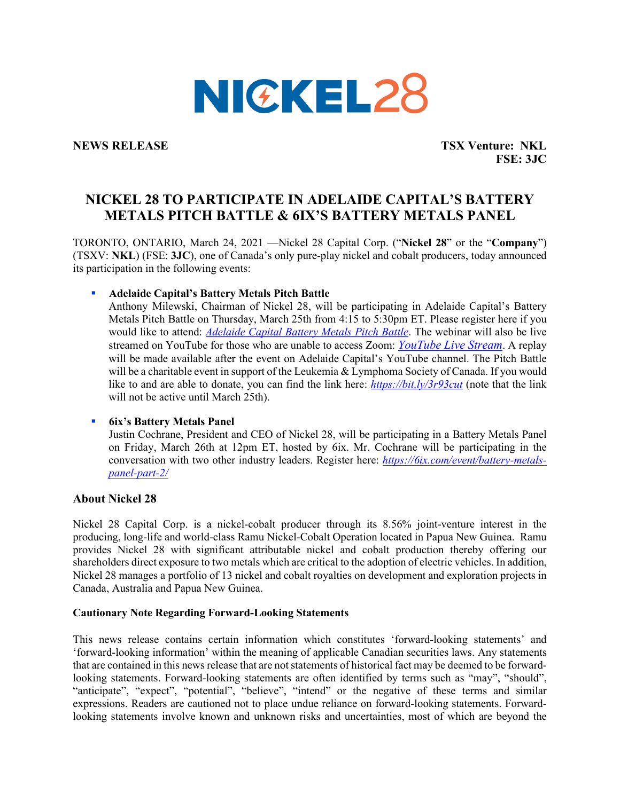

**NEWS RELEASE TSX Venture: NKL FSE: 3JC**

# **NICKEL 28 TO PARTICIPATE IN ADELAIDE CAPITAL'S BATTERY METALS PITCH BATTLE & 6IX'S BATTERY METALS PANEL**

TORONTO, ONTARIO, March 24, 2021 —Nickel 28 Capital Corp. ("**Nickel 28**" or the "**Company**") (TSXV: **NKL**) (FSE: **3JC**), one of Canada's only pure-play nickel and cobalt producers, today announced its participation in the following events:

**Adelaide Capital's Battery Metals Pitch Battle**

Anthony Milewski, Chairman of Nickel 28, will be participating in Adelaide Capital's Battery Metals Pitch Battle on Thursday, March 25th from 4:15 to 5:30pm ET. Please register here if you would like to attend: *[Adelaide](https://us02web.zoom.us/webinar/register/WN_Y7e6nymWRhutnE3ao4jZYA) Capital Battery Metals Pitch Battle*. The webinar will also be live streamed on YouTube for those who are unable to access Zoom: *[YouTube](https://www.globenewswire.com/Tracker?data=ioWYcBxRIJSECFNlcsfJBJVGkWR_Im7dCJwn4Rfyffu_tq6VBvtDvP3c20C4Fibo5Z8Qh28Jvu9EFM_sO_y8NERM0krdHrcQP6IMqBIhC-P8HjKIl2SBUipHvZDvSx0adqMrzJ5YNcpIGV5JhDXaJg==) Live Stream*. A replay will be made available after the event on Adelaide Capital's YouTube channel. The Pitch Battle will be a charitable event in support of the Leukemia & Lymphoma Society of Canada. If you would like to and are able to donate, you can find the link here: *<https://bit.ly/3r93cut>* (note that the link will not be active until March 25th).

## **6ix's Battery Metals Panel**

Justin Cochrane, President and CEO of Nickel 28, will be participating in a Battery Metals Panel on Friday, March 26th at 12pm ET, hosted by 6ix. Mr. Cochrane will be participating in the conversation with two other industry leaders. Register here: *[https://6ix.com/event/battery-metals](https://6ix.com/event/battery-metals-panel-part-2/)[panel-part-2/](https://6ix.com/event/battery-metals-panel-part-2/)*

## **About Nickel 28**

Nickel 28 Capital Corp. is a nickel-cobalt producer through its 8.56% joint-venture interest in the producing, long-life and world-class Ramu Nickel-Cobalt Operation located in Papua New Guinea. Ramu provides Nickel 28 with significant attributable nickel and cobalt production thereby offering our shareholders direct exposure to two metals which are critical to the adoption of electric vehicles. In addition, Nickel 28 manages a portfolio of 13 nickel and cobalt royalties on development and exploration projects in Canada, Australia and Papua New Guinea.

## **Cautionary Note Regarding Forward-Looking Statements**

This news release contains certain information which constitutes 'forward-looking statements' and 'forward-looking information' within the meaning of applicable Canadian securities laws. Any statements that are contained in this news release that are not statements of historical fact may be deemed to be forwardlooking statements. Forward-looking statements are often identified by terms such as "may", "should", "anticipate", "expect", "potential", "believe", "intend" or the negative of these terms and similar expressions. Readers are cautioned not to place undue reliance on forward-looking statements. Forwardlooking statements involve known and unknown risks and uncertainties, most of which are beyond the